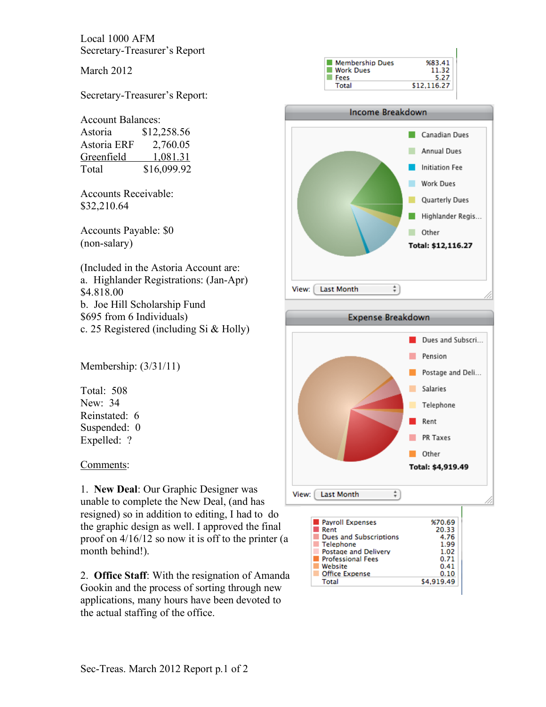Local 1000 AFM Secretary-Treasurer's Report

March 2012

Secretary-Treasurer's Report:

## Account Balances:

| Astoria     | \$12,258.56 |
|-------------|-------------|
| Astoria ERF | 2,760.05    |
| Greenfield  | 1,081.31    |
| Total       | \$16,099.92 |

Accounts Receivable: \$32,210.64

Accounts Payable: \$0 (non-salary)

(Included in the Astoria Account are: a. Highlander Registrations: (Jan-Apr) \$4.818.00 b. Joe Hill Scholarship Fund \$695 from 6 Individuals) c. 25 Registered (including Si & Holly)

Membership: (3/31/11)

Total: 508 New: 34 Reinstated: 6 Suspended: 0 Expelled: ?

Comments:

1. **New Deal**: Our Graphic Designer was unable to complete the New Deal, (and has resigned) so in addition to editing, I had to do the graphic design as well. I approved the final proof on 4/16/12 so now it is off to the printer (a month behind!).

2. **Office Staff**: With the resignation of Amanda Gookin and the process of sorting through new applications, many hours have been devoted to the actual staffing of the office.







1.99 Telephone **Postage and Delivery** 1.02 Professional Fees  $0.71$ **Website**  $0.41$ Office Expense  $0.10$ Total \$4,919.49